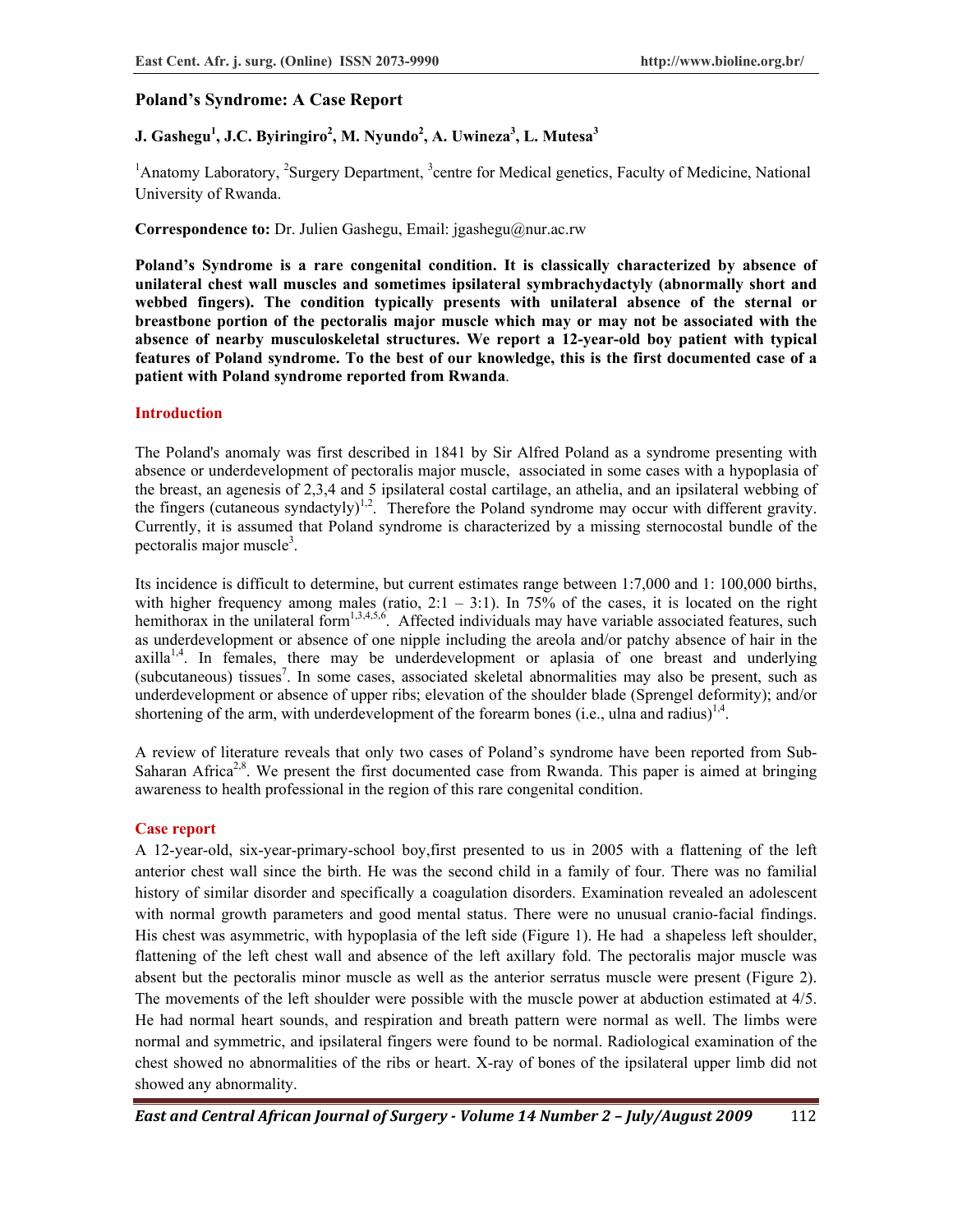## **Poland's Syndrome: A Case Report**

# **J.** Gashegu<sup>1</sup>, J.C. Byiringiro<sup>2</sup>, M. Nyundo<sup>2</sup>, A. Uwineza<sup>3</sup>, L. Mutesa<sup>3</sup>

<sup>1</sup>Anatomy Laboratory, <sup>2</sup>Surgery Department, <sup>3</sup>centre for Medical genetics, Faculty of Medicine, National University of Rwanda.

**Correspondence to:** Dr. Julien Gashegu, Email: jgashegu@nur.ac.rw

**Poland's Syndrome is a rare congenital condition. It is classically characterized by absence of unilateral chest wall muscles and sometimes ipsilateral symbrachydactyly (abnormally short and webbed fingers). The condition typically presents with unilateral absence of the sternal or breastbone portion of the pectoralis major muscle which may or may not be associated with the absence of nearby musculoskeletal structures. We report a 12-year-old boy patient with typical features of Poland syndrome. To the best of our knowledge, this is the first documented case of a patient with Poland syndrome reported from Rwanda**.

#### **Introduction**

The Poland's anomaly was first described in 1841 by Sir Alfred Poland as a syndrome presenting with absence or underdevelopment of pectoralis major muscle, associated in some cases with a hypoplasia of the breast, an agenesis of 2,3,4 and 5 ipsilateral costal cartilage, an athelia, and an ipsilateral webbing of the fingers (cutaneous syndactyly)<sup>1,2</sup>. Therefore the Poland syndrome may occur with different gravity. Currently, it is assumed that Poland syndrome is characterized by a missing sternocostal bundle of the pectoralis major muscle<sup>3</sup>.

Its incidence is difficult to determine, but current estimates range between 1:7,000 and 1: 100,000 births, with higher frequency among males (ratio,  $2:1 - 3:1$ ). In 75% of the cases, it is located on the right hemithorax in the unilateral form<sup>1,3,4,5,6</sup>. Affected individuals may have variable associated features, such as underdevelopment or absence of one nipple including the areola and/or patchy absence of hair in the  $axilla<sup>1,4</sup>$ . In females, there may be underdevelopment or aplasia of one breast and underlying (subcutaneous) tissues<sup>7</sup>. In some cases, associated skeletal abnormalities may also be present, such as underdevelopment or absence of upper ribs; elevation of the shoulder blade (Sprengel deformity); and/or shortening of the arm, with underdevelopment of the forearm bones (i.e., ulna and radius)<sup>1,4</sup>.

A review of literature reveals that only two cases of Poland's syndrome have been reported from Sub-Saharan Africa<sup>2,8</sup>. We present the first documented case from Rwanda. This paper is aimed at bringing awareness to health professional in the region of this rare congenital condition.

### **Case report**

A 12-year-old, six-year-primary-school boy,first presented to us in 2005 with a flattening of the left anterior chest wall since the birth. He was the second child in a family of four. There was no familial history of similar disorder and specifically a coagulation disorders. Examination revealed an adolescent with normal growth parameters and good mental status. There were no unusual cranio-facial findings. His chest was asymmetric, with hypoplasia of the left side (Figure 1). He had a shapeless left shoulder, flattening of the left chest wall and absence of the left axillary fold. The pectoralis major muscle was absent but the pectoralis minor muscle as well as the anterior serratus muscle were present (Figure 2). The movements of the left shoulder were possible with the muscle power at abduction estimated at 4/5. He had normal heart sounds, and respiration and breath pattern were normal as well. The limbs were normal and symmetric, and ipsilateral fingers were found to be normal. Radiological examination of the chest showed no abnormalities of the ribs or heart. X-ray of bones of the ipsilateral upper limb did not showed any abnormality.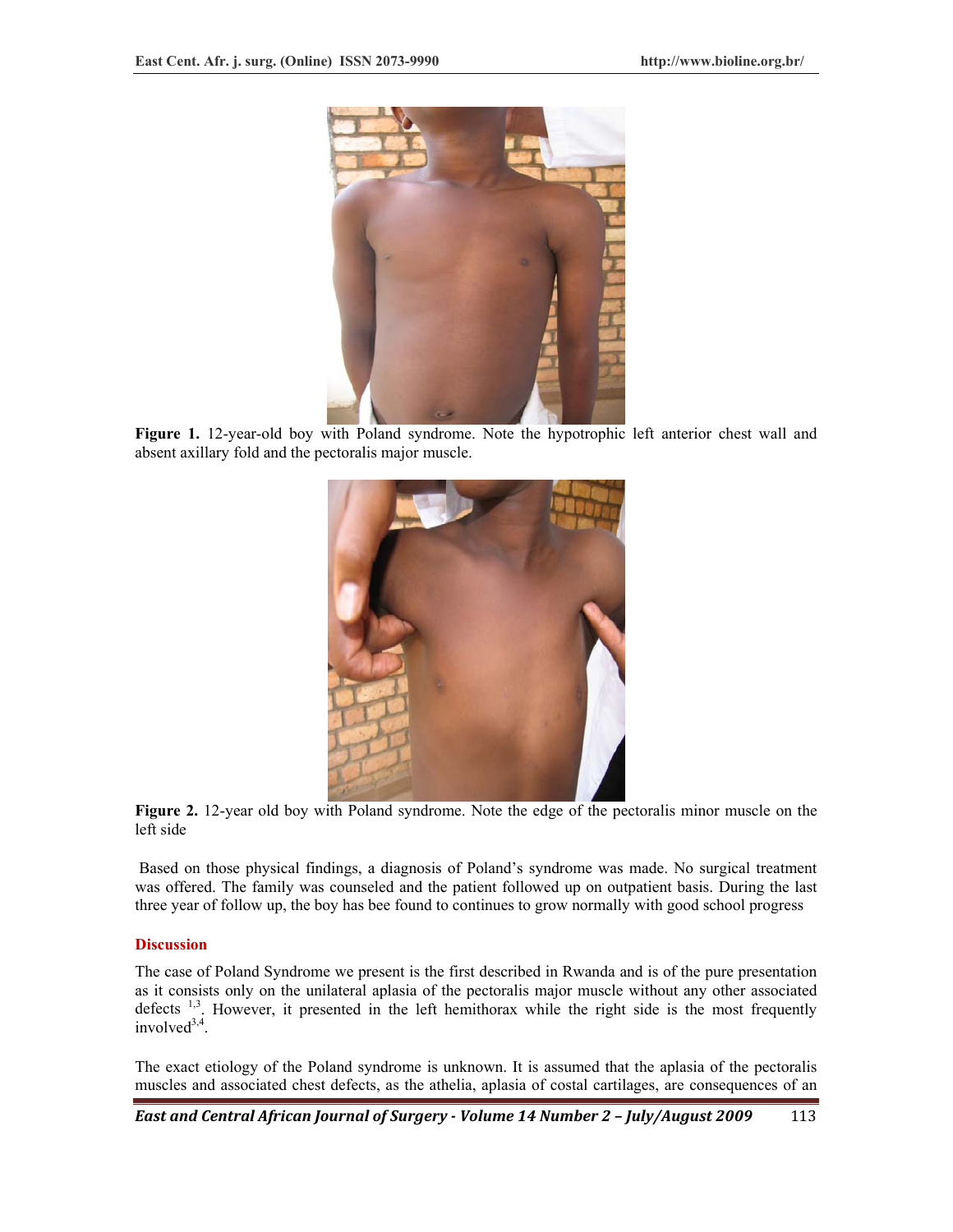

**Figure 1.** 12-year-old boy with Poland syndrome. Note the hypotrophic left anterior chest wall and absent axillary fold and the pectoralis major muscle.



**Figure 2.** 12-year old boy with Poland syndrome. Note the edge of the pectoralis minor muscle on the left side

 Based on those physical findings, a diagnosis of Poland's syndrome was made. No surgical treatment was offered. The family was counseled and the patient followed up on outpatient basis. During the last three year of follow up, the boy has bee found to continues to grow normally with good school progress

### **Discussion**

The case of Poland Syndrome we present is the first described in Rwanda and is of the pure presentation as it consists only on the unilateral aplasia of the pectoralis major muscle without any other associated defects  $1,3$ . However, it presented in the left hemithorax while the right side is the most frequently  $involved^{3,4}$ 

The exact etiology of the Poland syndrome is unknown. It is assumed that the aplasia of the pectoralis muscles and associated chest defects, as the athelia, aplasia of costal cartilages, are consequences of an